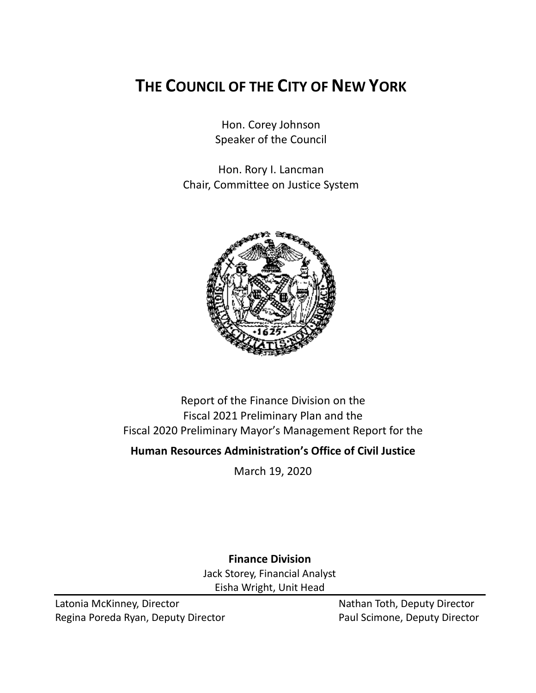# **THE COUNCIL OF THE CITY OF NEW YORK**

Hon. Corey Johnson Speaker of the Council

Hon. Rory I. Lancman Chair, Committee on Justice System



Report of the Finance Division on the Fiscal 2021 Preliminary Plan and the Fiscal 2020 Preliminary Mayor's Management Report for the

**Human Resources Administration's Office of Civil Justice**

March 19, 2020

**Finance Division** Jack Storey, Financial Analyst Eisha Wright, Unit Head

Latonia McKinney, Director Nathan Toth, Deputy Director Regina Poreda Ryan, Deputy Director **Paul Scimone, Deputy Director**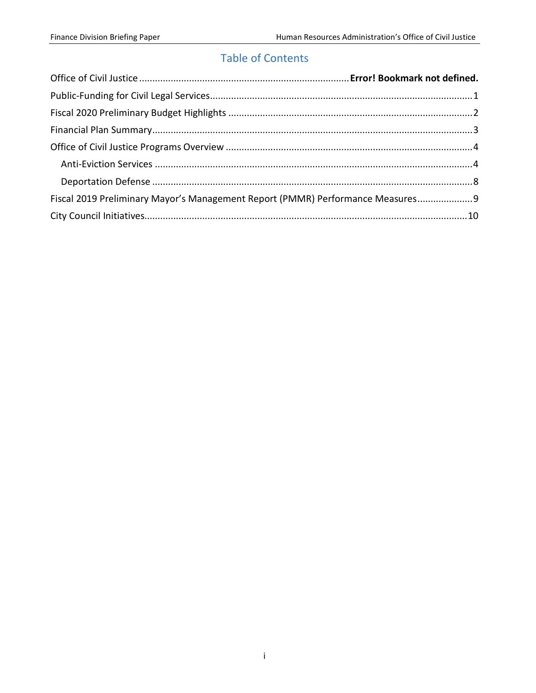# Table of Contents

| Fiscal 2019 Preliminary Mayor's Management Report (PMMR) Performance Measures 9 |  |
|---------------------------------------------------------------------------------|--|
|                                                                                 |  |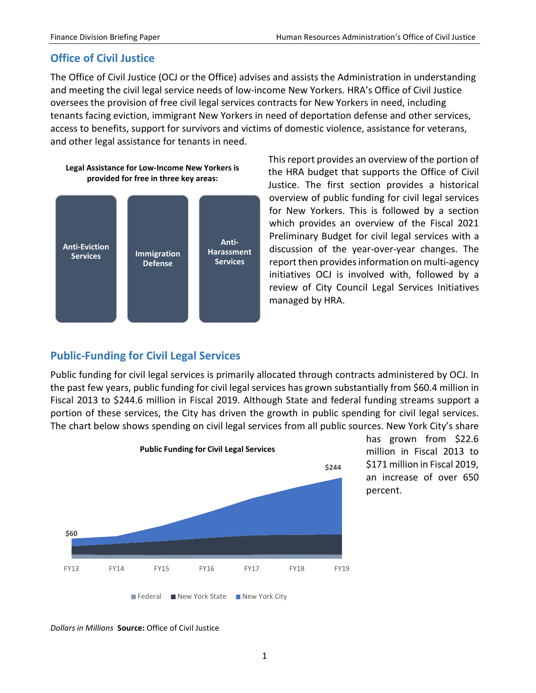# **Office of Civil Justice**

The Office of Civil Justice (OCJ or the Office) advises and assists the Administration in understanding and meeting the civil legal service needs of low-income New Yorkers. HRA's Office of Civil Justice oversees the provision of free civil legal services contracts for New Yorkers in need, including tenants facing eviction, immigrant New Yorkers in need of deportation defense and other services, access to benefits, support for survivors and victims of domestic violence, assistance for veterans, and other legal assistance for tenants in need.



**Legal Assistance for Low-Income New Yorkers is provided for free in three key areas:**

This report provides an overview of the portion of the HRA budget that supports the Office of Civil Justice. The first section provides a historical overview of public funding for civil legal services for New Yorkers. This is followed by a section which provides an overview of the Fiscal 2021 Preliminary Budget for civil legal services with a discussion of the year-over-year changes. The report then provides information on multi-agency initiatives OCJ is involved with, followed by a review of City Council Legal Services Initiatives managed by HRA.

# <span id="page-2-0"></span>**Public-Funding for Civil Legal Services**

Public funding for civil legal services is primarily allocated through contracts administered by OCJ. In the past few years, public funding for civil legal services has grown substantially from \$60.4 million in Fiscal 2013 to \$244.6 million in Fiscal 2019. Although State and federal funding streams support a portion of these services, the City has driven the growth in public spending for civil legal services. The chart below shows spending on civil legal services from all public sources. New York City's share



has grown from \$22.6 million in Fiscal 2013 to \$171 million in Fiscal 2019, an increase of over 650 percent.

*Dollars in Millions* **Source:** Office of Civil Justice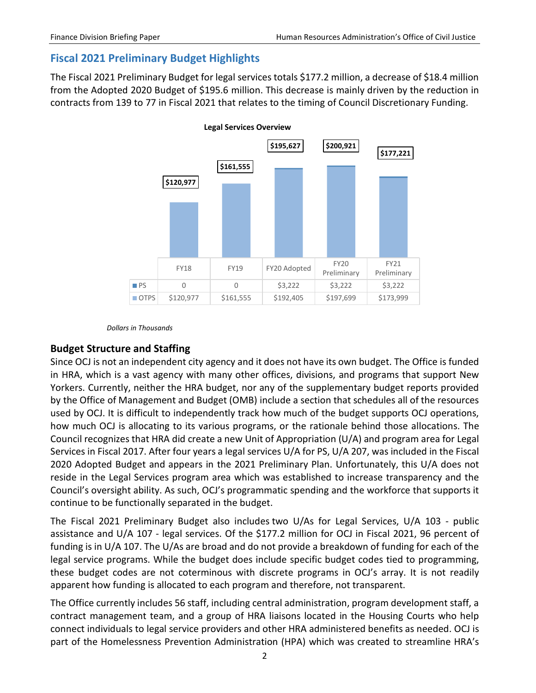# <span id="page-3-0"></span>**Fiscal 2021 Preliminary Budget Highlights**

The Fiscal 2021 Preliminary Budget for legal services totals \$177.2 million, a decrease of \$18.4 million from the Adopted 2020 Budget of \$195.6 million. This decrease is mainly driven by the reduction in contracts from 139 to 77 in Fiscal 2021 that relates to the timing of Council Discretionary Funding.



*Dollars in Thousands*

### **Budget Structure and Staffing**

Since OCJ is not an independent city agency and it does not have its own budget. The Office is funded in HRA, which is a vast agency with many other offices, divisions, and programs that support New Yorkers. Currently, neither the HRA budget, nor any of the supplementary budget reports provided by the Office of Management and Budget (OMB) include a section that schedules all of the resources used by OCJ. It is difficult to independently track how much of the budget supports OCJ operations, how much OCJ is allocating to its various programs, or the rationale behind those allocations. The Council recognizes that HRA did create a new Unit of Appropriation (U/A) and program area for Legal Services in Fiscal 2017. After four years a legal services U/A for PS, U/A 207, was included in the Fiscal 2020 Adopted Budget and appears in the 2021 Preliminary Plan. Unfortunately, this U/A does not reside in the Legal Services program area which was established to increase transparency and the Council's oversight ability. As such, OCJ's programmatic spending and the workforce that supports it continue to be functionally separated in the budget.

The Fiscal 2021 Preliminary Budget also includes two U/As for Legal Services, U/A 103 - public assistance and U/A 107 - legal services. Of the \$177.2 million for OCJ in Fiscal 2021, 96 percent of funding is in U/A 107. The U/As are broad and do not provide a breakdown of funding for each of the legal service programs. While the budget does include specific budget codes tied to programming, these budget codes are not coterminous with discrete programs in OCJ's array. It is not readily apparent how funding is allocated to each program and therefore, not transparent.

The Office currently includes 56 staff, including central administration, program development staff, a contract management team, and a group of HRA liaisons located in the Housing Courts who help connect individuals to legal service providers and other HRA administered benefits as needed. OCJ is part of the Homelessness Prevention Administration (HPA) which was created to streamline HRA's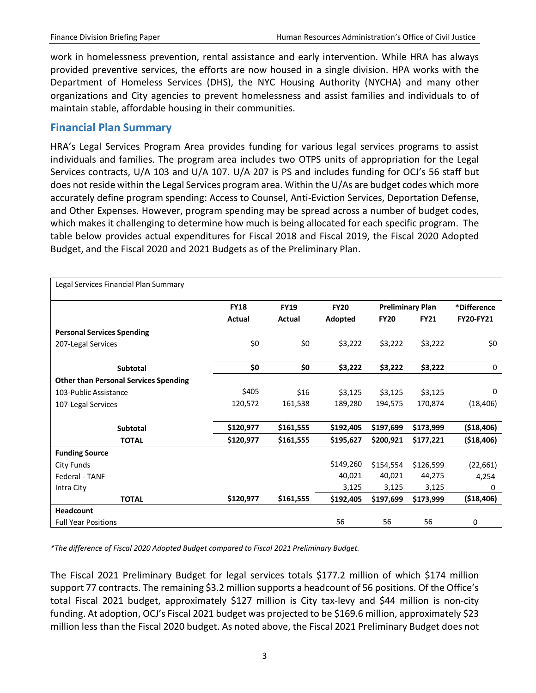work in homelessness prevention, rental assistance and early intervention. While HRA has always provided preventive services, the efforts are now housed in a single division. HPA works with the Department of Homeless Services (DHS), the NYC Housing Authority (NYCHA) and many other organizations and City agencies to prevent homelessness and assist families and individuals to of maintain stable, affordable housing in their communities.

# <span id="page-4-0"></span>**Financial Plan Summary**

HRA's Legal Services Program Area provides funding for various legal services programs to assist individuals and families. The program area includes two OTPS units of appropriation for the Legal Services contracts, U/A 103 and U/A 107. U/A 207 is PS and includes funding for OCJ's 56 staff but does not reside within the Legal Services program area. Within the U/As are budget codes which more accurately define program spending: Access to Counsel, Anti-Eviction Services, Deportation Defense, and Other Expenses. However, program spending may be spread across a number of budget codes, which makes it challenging to determine how much is being allocated for each specific program. The table below provides actual expenditures for Fiscal 2018 and Fiscal 2019, the Fiscal 2020 Adopted Budget, and the Fiscal 2020 and 2021 Budgets as of the Preliminary Plan.

| Legal Services Financial Plan Summary        |             |             |             |             |                         |                  |
|----------------------------------------------|-------------|-------------|-------------|-------------|-------------------------|------------------|
|                                              | <b>FY18</b> | <b>FY19</b> | <b>FY20</b> |             | <b>Preliminary Plan</b> | *Difference      |
|                                              | Actual      | Actual      | Adopted     | <b>FY20</b> | <b>FY21</b>             | <b>FY20-FY21</b> |
| <b>Personal Services Spending</b>            |             |             |             |             |                         |                  |
| 207-Legal Services                           | \$0         | \$0         | \$3,222     | \$3,222     | \$3,222                 | \$0              |
| <b>Subtotal</b>                              | \$0         | \$0         | \$3,222     | \$3,222     | \$3,222                 | 0                |
| <b>Other than Personal Services Spending</b> |             |             |             |             |                         |                  |
| 103-Public Assistance                        | \$405       | \$16        | \$3,125     | \$3,125     | \$3,125                 | 0                |
| 107-Legal Services                           | 120,572     | 161,538     | 189,280     | 194,575     | 170,874                 | (18, 406)        |
| <b>Subtotal</b>                              | \$120,977   | \$161,555   | \$192,405   | \$197,699   | \$173,999               | ( \$18,406)      |
| <b>TOTAL</b>                                 | \$120,977   | \$161,555   | \$195,627   | \$200,921   | \$177,221               | ( \$18,406)      |
| <b>Funding Source</b>                        |             |             |             |             |                         |                  |
| City Funds                                   |             |             | \$149,260   | \$154,554   | \$126,599               | (22, 661)        |
| Federal - TANF                               |             |             | 40,021      | 40,021      | 44,275                  | 4,254            |
| Intra City                                   |             |             | 3,125       | 3,125       | 3,125                   | 0                |
| <b>TOTAL</b>                                 | \$120,977   | \$161,555   | \$192,405   | \$197,699   | \$173,999               | ( \$18,406)      |
| <b>Headcount</b>                             |             |             |             |             |                         |                  |
| <b>Full Year Positions</b>                   |             |             | 56          | 56          | 56                      | 0                |

*\*The difference of Fiscal 2020 Adopted Budget compared to Fiscal 2021 Preliminary Budget.*

The Fiscal 2021 Preliminary Budget for legal services totals \$177.2 million of which \$174 million support 77 contracts. The remaining \$3.2 million supports a headcount of 56 positions. Of the Office's total Fiscal 2021 budget, approximately \$127 million is City tax-levy and \$44 million is non-city funding. At adoption, OCJ's Fiscal 2021 budget was projected to be \$169.6 million, approximately \$23 million less than the Fiscal 2020 budget. As noted above, the Fiscal 2021 Preliminary Budget does not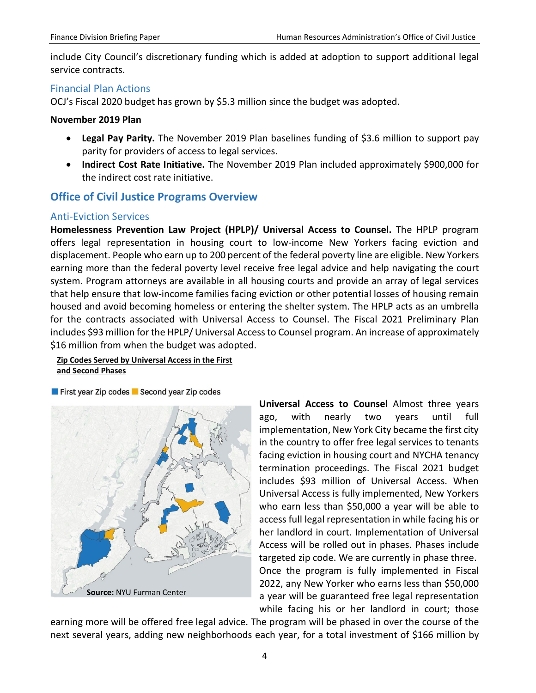include City Council's discretionary funding which is added at adoption to support additional legal service contracts.

### Financial Plan Actions

OCJ's Fiscal 2020 budget has grown by \$5.3 million since the budget was adopted.

### **November 2019 Plan**

- **Legal Pay Parity.** The November 2019 Plan baselines funding of \$3.6 million to support pay parity for providers of access to legal services.
- **Indirect Cost Rate Initiative.** The November 2019 Plan included approximately \$900,000 for the indirect cost rate initiative.

# <span id="page-5-0"></span>**Office of Civil Justice Programs Overview**

### <span id="page-5-1"></span>Anti-Eviction Services

**Homelessness Prevention Law Project (HPLP)/ Universal Access to Counsel.** The HPLP program offers legal representation in housing court to low-income New Yorkers facing eviction and displacement. People who earn up to 200 percent of the federal poverty line are eligible. New Yorkers earning more than the federal poverty level receive free legal advice and help navigating the court system. Program attorneys are available in all housing courts and provide an array of legal services that help ensure that low-income families facing eviction or other potential losses of housing remain housed and avoid becoming homeless or entering the shelter system. The HPLP acts as an umbrella for the contracts associated with Universal Access to Counsel. The Fiscal 2021 Preliminary Plan includes \$93 million for the HPLP/ Universal Access to Counsel program. An increase of approximately \$16 million from when the budget was adopted.

#### **Zip Codes Served by Universal Access in the First and Second Phases**

#### First year Zip codes Second year Zip codes



**Universal Access to Counsel** Almost three years ago, with nearly two years until full implementation, New York City became the first city in the country to offer free legal services to tenants facing eviction in housing court and NYCHA tenancy termination proceedings. The Fiscal 2021 budget includes \$93 million of Universal Access. When Universal Access is fully implemented, New Yorkers who earn less than \$50,000 a year will be able to access full legal representation in while facing his or her landlord in court. Implementation of Universal Access will be rolled out in phases. Phases include targeted zip code. We are currently in phase three. Once the program is fully implemented in Fiscal 2022, any New Yorker who earns less than \$50,000 a year will be guaranteed free legal representation while facing his or her landlord in court; those

earning more will be offered free legal advice. The program will be phased in over the course of the next several years, adding new neighborhoods each year, for a total investment of \$166 million by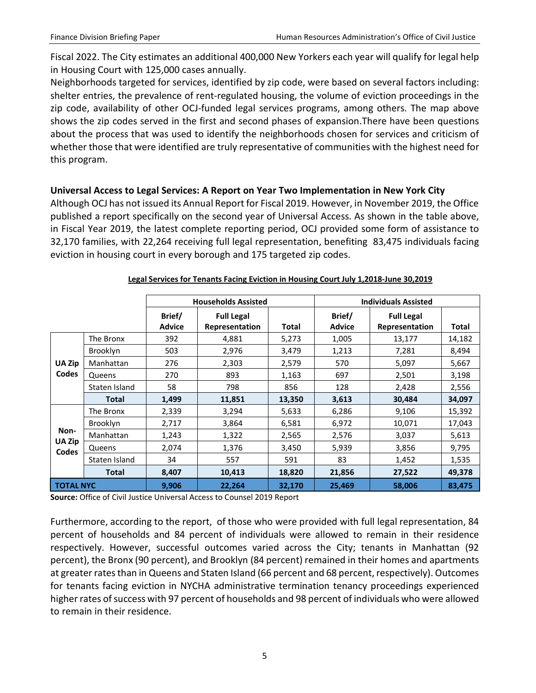Fiscal 2022. The City estimates an additional 400,000 New Yorkers each year will qualify for legal help in Housing Court with 125,000 cases annually.

Neighborhoods targeted for services, identified by zip code, were based on several factors including: shelter entries, the prevalence of rent-regulated housing, the volume of eviction proceedings in the zip code, availability of other OCJ-funded legal services programs, among others. The map above shows the zip codes served in the first and second phases of expansion.There have been questions about the process that was used to identify the neighborhoods chosen for services and criticism of whether those that were identified are truly representative of communities with the highest need for this program.

### **Universal Access to Legal Services: A Report on Year Two Implementation in New York City**

Although OCJ has not issued its Annual Report for Fiscal 2019. However, in November 2019, the Office published a report specifically on the second year of Universal Access. As shown in the table above, in Fiscal Year 2019, the latest complete reporting period, OCJ provided some form of assistance to 32,170 families, with 22,264 receiving full legal representation, benefiting 83,475 individuals facing eviction in housing court in every borough and 175 targeted zip codes.

|                        |                 |                         | <b>Households Assisted</b>          |        | <b>Individuals Assisted</b> |                                     |        |  |
|------------------------|-----------------|-------------------------|-------------------------------------|--------|-----------------------------|-------------------------------------|--------|--|
|                        |                 | Brief/<br><b>Advice</b> | <b>Full Legal</b><br>Representation | Total  | Brief/<br><b>Advice</b>     | <b>Full Legal</b><br>Representation | Total  |  |
|                        | The Bronx       | 392                     | 4,881                               | 5,273  | 1,005                       | 13,177                              | 14,182 |  |
|                        | <b>Brooklyn</b> | 503                     | 2,976                               | 3,479  | 1,213                       | 7,281                               | 8,494  |  |
| UA Zip                 | Manhattan       | 276                     | 2,303                               | 2,579  | 570                         | 5,097                               | 5,667  |  |
| <b>Codes</b>           | Queens          | 270                     | 893                                 | 1,163  | 697                         | 2,501                               | 3,198  |  |
|                        | Staten Island   | 58                      | 798                                 | 856    | 128                         | 2,428                               | 2,556  |  |
|                        | <b>Total</b>    | 1,499                   | 11,851                              | 13,350 | 3,613                       | 30,484                              | 34,097 |  |
|                        | The Bronx       | 2,339                   | 3,294                               | 5,633  | 6,286                       | 9,106                               | 15,392 |  |
|                        | <b>Brooklyn</b> | 2,717                   | 3,864                               | 6,581  | 6,972                       | 10,071                              | 17,043 |  |
| Non-                   | Manhattan       | 1,243                   | 1,322                               | 2,565  | 2,576                       | 3,037                               | 5,613  |  |
| <b>UA Zip</b><br>Codes | Queens          | 2,074                   | 1,376                               | 3,450  | 5,939                       | 3,856                               | 9,795  |  |
|                        | Staten Island   | 34                      | 557                                 | 591    | 83                          | 1,452                               | 1,535  |  |
|                        | <b>Total</b>    | 8,407                   | 10,413                              | 18,820 | 21,856                      | 27,522                              | 49,378 |  |
| <b>TOTAL NYC</b>       |                 | 9,906                   | 22,264                              | 32,170 | 25,469                      | 58,006                              | 83,475 |  |

#### **Legal Services for Tenants Facing Eviction in Housing Court July 1,2018-June 30,2019**

**Source:** Office of Civil Justice Universal Access to Counsel 2019 Report

Furthermore, according to the report, of those who were provided with full legal representation, 84 percent of households and 84 percent of individuals were allowed to remain in their residence respectively. However, successful outcomes varied across the City; tenants in Manhattan (92 percent), the Bronx (90 percent), and Brooklyn (84 percent) remained in their homes and apartments at greater rates than in Queens and Staten Island (66 percent and 68 percent, respectively). Outcomes for tenants facing eviction in NYCHA administrative termination tenancy proceedings experienced higher rates of success with 97 percent of households and 98 percent of individuals who were allowed to remain in their residence.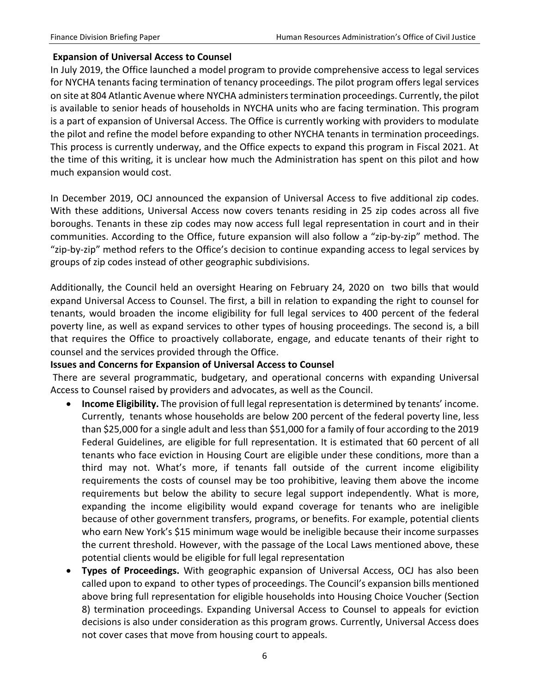### **Expansion of Universal Access to Counsel**

In July 2019, the Office launched a model program to provide comprehensive access to legal services for NYCHA tenants facing termination of tenancy proceedings. The pilot program offers legal services on site at 804 Atlantic Avenue where NYCHA administers termination proceedings. Currently, the pilot is available to senior heads of households in NYCHA units who are facing termination. This program is a part of expansion of Universal Access. The Office is currently working with providers to modulate the pilot and refine the model before expanding to other NYCHA tenants in termination proceedings. This process is currently underway, and the Office expects to expand this program in Fiscal 2021. At the time of this writing, it is unclear how much the Administration has spent on this pilot and how much expansion would cost.

In December 2019, OCJ announced the expansion of Universal Access to five additional zip codes. With these additions, Universal Access now covers tenants residing in 25 zip codes across all five boroughs. Tenants in these zip codes may now access full legal representation in court and in their communities. According to the Office, future expansion will also follow a "zip-by-zip" method. The "zip-by-zip" method refers to the Office's decision to continue expanding access to legal services by groups of zip codes instead of other geographic subdivisions.

Additionally, the Council held an oversight Hearing on February 24, 2020 on two bills that would expand Universal Access to Counsel. The first, a bill in relation to expanding the right to counsel for tenants, would broaden the income eligibility for full legal services to 400 percent of the federal poverty line, as well as expand services to other types of housing proceedings. The second is, a bill that requires the Office to proactively collaborate, engage, and educate tenants of their right to counsel and the services provided through the Office.

### **Issues and Concerns for Expansion of Universal Access to Counsel**

There are several programmatic, budgetary, and operational concerns with expanding Universal Access to Counsel raised by providers and advocates, as well as the Council.

- **Income Eligibility.** The provision of full legal representation is determined by tenants' income. Currently, tenants whose households are below 200 percent of the federal poverty line, less than \$25,000 for a single adult and less than \$51,000 for a family of four according to the 2019 Federal Guidelines, are eligible for full representation. It is estimated that 60 percent of all tenants who face eviction in Housing Court are eligible under these conditions, more than a third may not. What's more, if tenants fall outside of the current income eligibility requirements the costs of counsel may be too prohibitive, leaving them above the income requirements but below the ability to secure legal support independently. What is more, expanding the income eligibility would expand coverage for tenants who are ineligible because of other government transfers, programs, or benefits. For example, potential clients who earn New York's \$15 minimum wage would be ineligible because their income surpasses the current threshold. However, with the passage of the Local Laws mentioned above, these potential clients would be eligible for full legal representation
- **Types of Proceedings.** With geographic expansion of Universal Access, OCJ has also been called upon to expand to other types of proceedings. The Council's expansion bills mentioned above bring full representation for eligible households into Housing Choice Voucher (Section 8) termination proceedings. Expanding Universal Access to Counsel to appeals for eviction decisions is also under consideration as this program grows. Currently, Universal Access does not cover cases that move from housing court to appeals.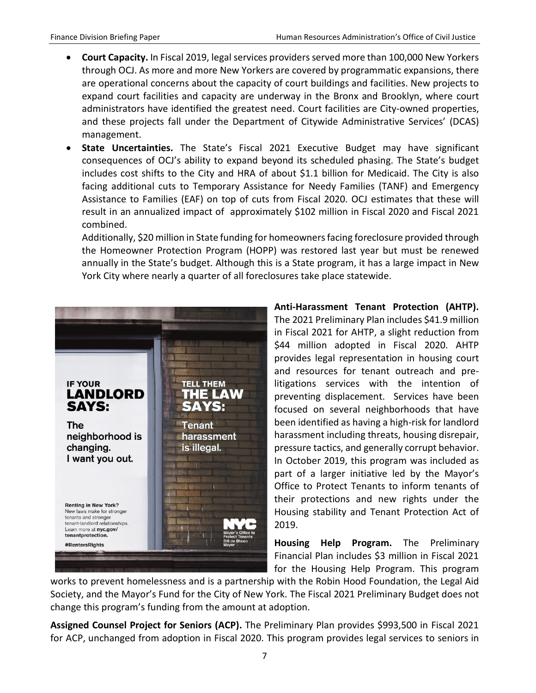- **Court Capacity.** In Fiscal 2019, legal services providers served more than 100,000 New Yorkers through OCJ. As more and more New Yorkers are covered by programmatic expansions, there are operational concerns about the capacity of court buildings and facilities. New projects to expand court facilities and capacity are underway in the Bronx and Brooklyn, where court administrators have identified the greatest need. Court facilities are City-owned properties, and these projects fall under the Department of Citywide Administrative Services' (DCAS) management.
- **State Uncertainties.** The State's Fiscal 2021 Executive Budget may have significant consequences of OCJ's ability to expand beyond its scheduled phasing. The State's budget includes cost shifts to the City and HRA of about \$1.1 billion for Medicaid. The City is also facing additional cuts to Temporary Assistance for Needy Families (TANF) and Emergency Assistance to Families (EAF) on top of cuts from Fiscal 2020. OCJ estimates that these will result in an annualized impact of approximately \$102 million in Fiscal 2020 and Fiscal 2021 combined.

Additionally, \$20 million in State funding for homeowners facing foreclosure provided through the Homeowner Protection Program (HOPP) was restored last year but must be renewed annually in the State's budget. Although this is a State program, it has a large impact in New York City where nearly a quarter of all foreclosures take place statewide.



**Anti-Harassment Tenant Protection (AHTP).**  The 2021 Preliminary Plan includes \$41.9 million in Fiscal 2021 for AHTP, a slight reduction from \$44 million adopted in Fiscal 2020. AHTP provides legal representation in housing court and resources for tenant outreach and prelitigations services with the intention of preventing displacement. Services have been focused on several neighborhoods that have been identified as having a high-risk for landlord harassment including threats, housing disrepair, pressure tactics, and generally corrupt behavior. In October 2019, this program was included as part of a larger initiative led by the Mayor's Office to Protect Tenants to inform tenants of their protections and new rights under the Housing stability and Tenant Protection Act of 2019.

**Housing Help Program.** The Preliminary Financial Plan includes \$3 million in Fiscal 2021 for the Housing Help Program. This program

works to prevent homelessness and is a partnership with the Robin Hood Foundation, the Legal Aid Society, and the Mayor's Fund for the City of New York. The Fiscal 2021 Preliminary Budget does not change this program's funding from the amount at adoption.

**Assigned Counsel Project for Seniors (ACP).** The Preliminary Plan provides \$993,500 in Fiscal 2021 for ACP, unchanged from adoption in Fiscal 2020. This program provides legal services to seniors in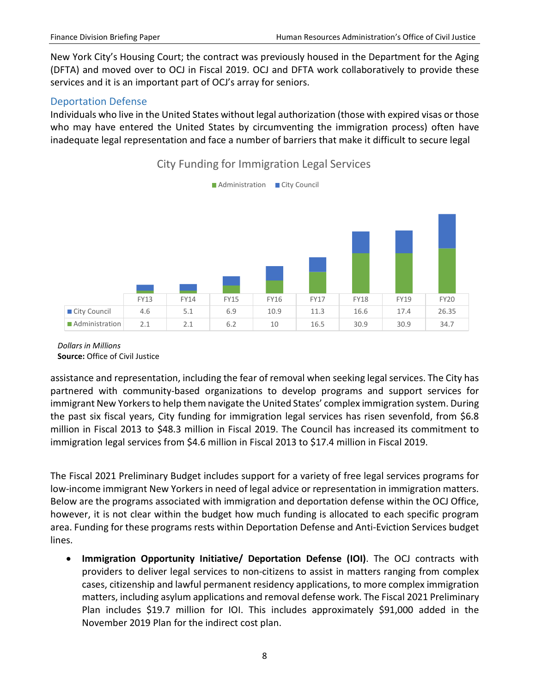New York City's Housing Court; the contract was previously housed in the Department for the Aging (DFTA) and moved over to OCJ in Fiscal 2019. OCJ and DFTA work collaboratively to provide these services and it is an important part of OCJ's array for seniors.

### <span id="page-9-0"></span>Deportation Defense

Individuals who live in the United States without legal authorization (those with expired visas or those who may have entered the United States by circumventing the immigration process) often have inadequate legal representation and face a number of barriers that make it difficult to secure legal



# City Funding for Immigration Legal Services

#### *Dollars in Millions*  **Source:** Office of Civil Justice

assistance and representation, including the fear of removal when seeking legal services. The City has partnered with community-based organizations to develop programs and support services for immigrant New Yorkers to help them navigate the United States' complex immigration system. During the past six fiscal years, City funding for immigration legal services has risen sevenfold, from \$6.8 million in Fiscal 2013 to \$48.3 million in Fiscal 2019. The Council has increased its commitment to immigration legal services from \$4.6 million in Fiscal 2013 to \$17.4 million in Fiscal 2019.

The Fiscal 2021 Preliminary Budget includes support for a variety of free legal services programs for low-income immigrant New Yorkers in need of legal advice or representation in immigration matters. Below are the programs associated with immigration and deportation defense within the OCJ Office, however, it is not clear within the budget how much funding is allocated to each specific program area. Funding for these programs rests within Deportation Defense and Anti-Eviction Services budget lines.

• **Immigration Opportunity Initiative/ Deportation Defense (IOI)**. The OCJ contracts with providers to deliver legal services to non-citizens to assist in matters ranging from complex cases, citizenship and lawful permanent residency applications, to more complex immigration matters, including asylum applications and removal defense work. The Fiscal 2021 Preliminary Plan includes \$19.7 million for IOI. This includes approximately \$91,000 added in the November 2019 Plan for the indirect cost plan.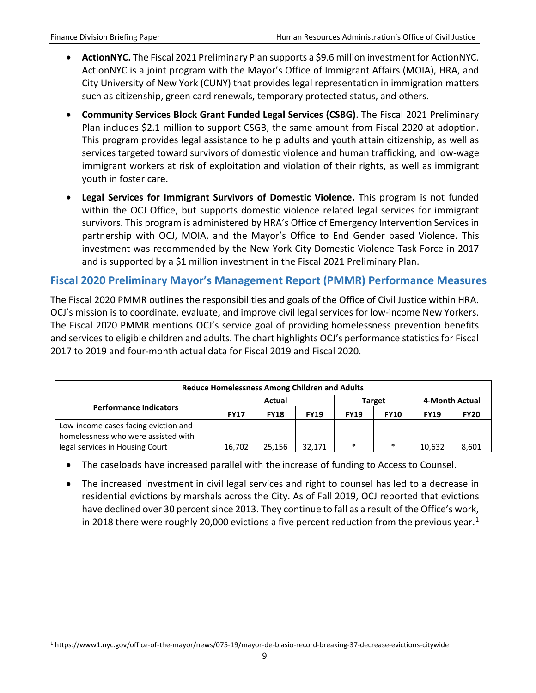- **ActionNYC.** The Fiscal 2021 Preliminary Plan supports a \$9.6 million investment for ActionNYC. ActionNYC is a joint program with the Mayor's Office of Immigrant Affairs (MOIA), HRA, and City University of New York (CUNY) that provides legal representation in immigration matters such as citizenship, green card renewals, temporary protected status, and others.
- **Community Services Block Grant Funded Legal Services (CSBG)**. The Fiscal 2021 Preliminary Plan includes \$2.1 million to support CSGB, the same amount from Fiscal 2020 at adoption. This program provides legal assistance to help adults and youth attain citizenship, as well as services targeted toward survivors of domestic violence and human trafficking, and low-wage immigrant workers at risk of exploitation and violation of their rights, as well as immigrant youth in foster care.
- **Legal Services for Immigrant Survivors of Domestic Violence.** This program is not funded within the OCJ Office, but supports domestic violence related legal services for immigrant survivors. This program is administered by HRA's Office of Emergency Intervention Services in partnership with OCJ, MOIA, and the Mayor's Office to End Gender based Violence. This investment was recommended by the New York City Domestic Violence Task Force in 2017 and is supported by a \$1 million investment in the Fiscal 2021 Preliminary Plan.

## <span id="page-10-0"></span>**Fiscal 2020 Preliminary Mayor's Management Report (PMMR) Performance Measures**

The Fiscal 2020 PMMR outlines the responsibilities and goals of the Office of Civil Justice within HRA. OCJ's mission is to coordinate, evaluate, and improve civil legal services for low-income New Yorkers. The Fiscal 2020 PMMR mentions OCJ's service goal of providing homelessness prevention benefits and services to eligible children and adults. The chart highlights OCJ's performance statistics for Fiscal 2017 to 2019 and four-month actual data for Fiscal 2019 and Fiscal 2020.

| <b>Reduce Homelessness Among Children and Adults</b> |             |             |             |               |             |                |             |
|------------------------------------------------------|-------------|-------------|-------------|---------------|-------------|----------------|-------------|
|                                                      | Actual      |             |             | <b>Target</b> |             | 4-Month Actual |             |
| <b>Performance Indicators</b>                        | <b>FY17</b> | <b>FY18</b> | <b>FY19</b> | <b>FY19</b>   | <b>FY10</b> | <b>FY19</b>    | <b>FY20</b> |
| Low-income cases facing eviction and                 |             |             |             |               |             |                |             |
| homelessness who were assisted with                  |             |             |             |               |             |                |             |
| legal services in Housing Court                      | 16.702      | 25.156      | 32.171      | $\ast$        | $\ast$      | 10,632         | 8,601       |

- The caseloads have increased parallel with the increase of funding to Access to Counsel.
- The increased investment in civil legal services and right to counsel has led to a decrease in residential evictions by marshals across the City. As of Fall 2019, OCJ reported that evictions have declined over 30 percent since 2013. They continue to fall as a result of the Office's work, in 20[1](#page-10-1)8 there were roughly 20,000 evictions a five percent reduction from the previous year.<sup>1</sup>

<span id="page-10-1"></span> <sup>1</sup> https://www1.nyc.gov/office-of-the-mayor/news/075-19/mayor-de-blasio-record-breaking-37-decrease-evictions-citywide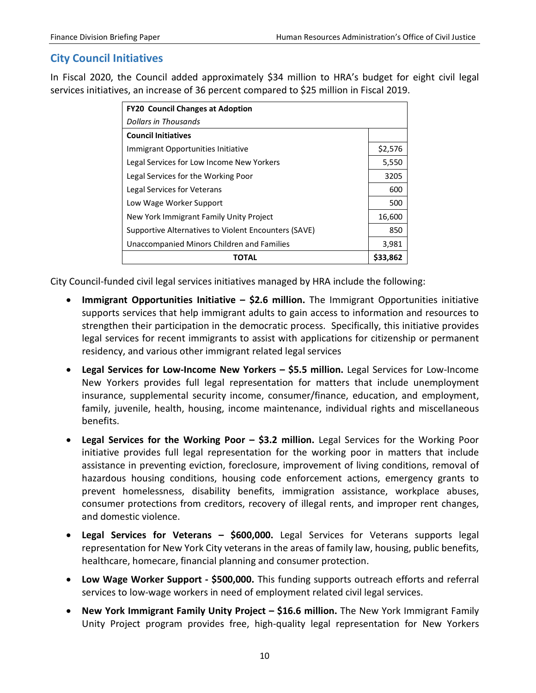### <span id="page-11-0"></span>**City Council Initiatives**

In Fiscal 2020, the Council added approximately \$34 million to HRA's budget for eight civil legal services initiatives, an increase of 36 percent compared to \$25 million in Fiscal 2019.

| <b>FY20 Council Changes at Adoption</b>              |          |
|------------------------------------------------------|----------|
| <b>Dollars in Thousands</b>                          |          |
| <b>Council Initiatives</b>                           |          |
| Immigrant Opportunities Initiative                   | \$2,576  |
| Legal Services for Low Income New Yorkers            | 5,550    |
| Legal Services for the Working Poor                  | 3205     |
| Legal Services for Veterans                          | 600      |
| Low Wage Worker Support                              | 500      |
| New York Immigrant Family Unity Project              | 16,600   |
| Supportive Alternatives to Violent Encounters (SAVE) | 850      |
| Unaccompanied Minors Children and Families           | 3,981    |
| ΤΟΤΑL                                                | \$33,862 |

City Council-funded civil legal services initiatives managed by HRA include the following:

- **Immigrant Opportunities Initiative – \$2.6 million.** The Immigrant Opportunities initiative supports services that help immigrant adults to gain access to information and resources to strengthen their participation in the democratic process. Specifically, this initiative provides legal services for recent immigrants to assist with applications for citizenship or permanent residency, and various other immigrant related legal services
- **Legal Services for Low-Income New Yorkers – \$5.5 million.** Legal Services for Low-Income New Yorkers provides full legal representation for matters that include unemployment insurance, supplemental security income, consumer/finance, education, and employment, family, juvenile, health, housing, income maintenance, individual rights and miscellaneous benefits.
- **Legal Services for the Working Poor – \$3.2 million.** Legal Services for the Working Poor initiative provides full legal representation for the working poor in matters that include assistance in preventing eviction, foreclosure, improvement of living conditions, removal of hazardous housing conditions, housing code enforcement actions, emergency grants to prevent homelessness, disability benefits, immigration assistance, workplace abuses, consumer protections from creditors, recovery of illegal rents, and improper rent changes, and domestic violence.
- **Legal Services for Veterans – \$600,000.** Legal Services for Veterans supports legal representation for New York City veterans in the areas of family law, housing, public benefits, healthcare, homecare, financial planning and consumer protection.
- **Low Wage Worker Support - \$500,000.** This funding supports outreach efforts and referral services to low-wage workers in need of employment related civil legal services.
- **New York Immigrant Family Unity Project – \$16.6 million.** The New York Immigrant Family Unity Project program provides free, high-quality legal representation for New Yorkers